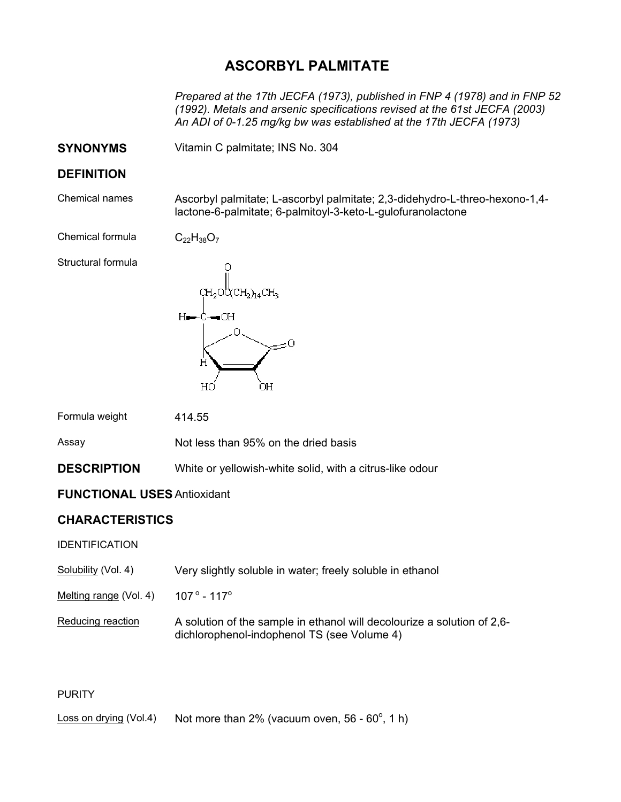# **ASCORBYL PALMITATE**

*Prepared at the 17th JECFA (1973), published in FNP 4 (1978) and in FNP 52 (1992). Metals and arsenic specifications revised at the 61st JECFA (2003) An ADI of 0-1.25 mg/kg bw was established at the 17th JECFA (1973)* 

**SYNONYMS** Vitamin C palmitate; INS No. 304

### **DEFINITION**

Chemical names Ascorbyl palmitate; L-ascorbyl palmitate; 2,3-didehydro-L-threo-hexono-1,4 lactone-6-palmitate; 6-palmitoyl-3-keto-L-gulofuranolactone

Chemical formula  $C_{22}H_{38}O_7$ 

Structural formula



Formula weight 414.55

Assay Not less than 95% on the dried basis

**DESCRIPTION** White or yellowish-white solid, with a citrus-like odour

### **FUNCTIONAL USES** Antioxidant

## **CHARACTERISTICS**

IDENTIFICATION

| Solubility (Vol. 4) | Very slightly soluble in water; freely soluble in ethanol |
|---------------------|-----------------------------------------------------------|
|---------------------|-----------------------------------------------------------|

Melting range (Vol. 4)  $107^{\circ}$  - 117 $^{\circ}$ 

Reducing reaction A solution of the sample in ethanol will decolourize a solution of 2,6dichlorophenol-indophenol TS (see Volume 4)

#### **PURITY**

Loss on drying (Vol.4) Not more than 2% (vacuum oven, 56 - 60 $^{\circ}$ , 1 h)